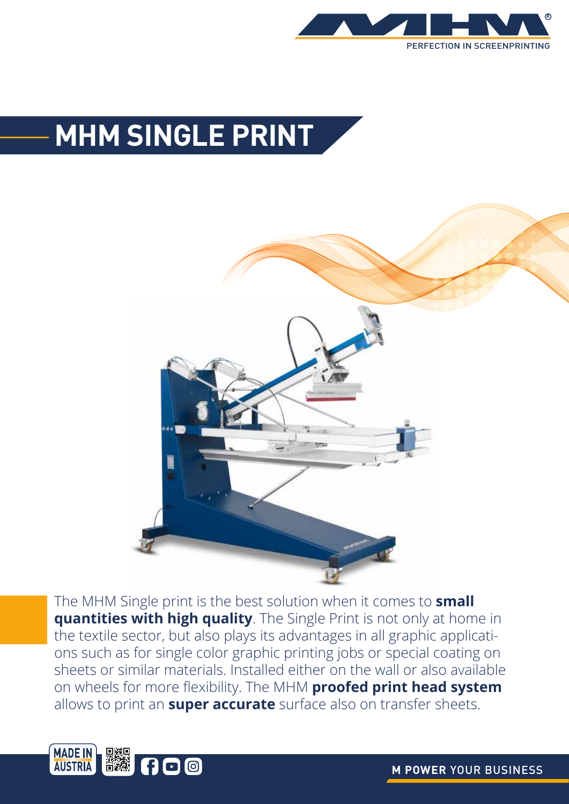

## **MHM SINGLE PRINT**



The MHM Single print is the best solution when it comes to **small quantities with high quality**. The Single Print is not only at home in the textile sector, but also plays its advantages in all graphic applications such as for single color graphic printing jobs or special coating on sheets or similar materials. Installed either on the wall or also available on wheels for more flexibility. The MHM **proofed print head system** allows to print an **super accurate** surface also on transfer sheets.